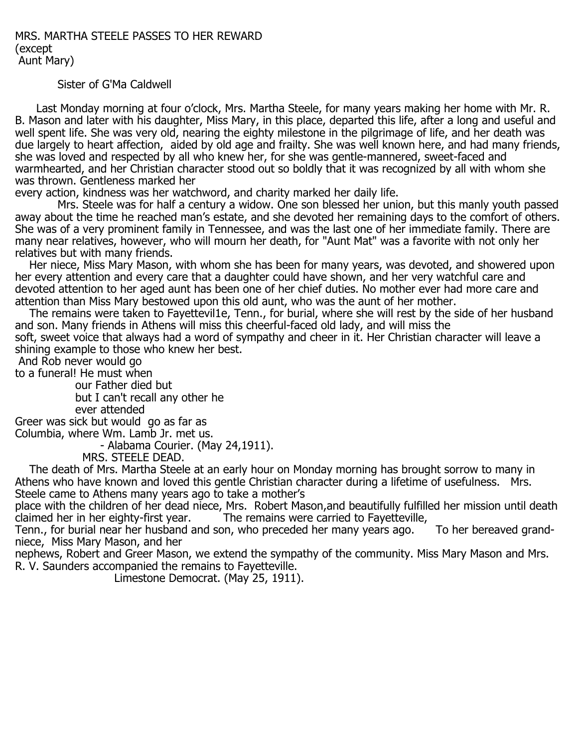MRS. MARTHA STEELE PASSES TO HER REWARD (except Aunt Mary)

## Sister of G'Ma Caldwell

 Last Monday morning at four o'clock, Mrs. Martha Steele, for many years making her home with Mr. R. B. Mason and later with his daughter, Miss Mary, in this place, departed this life, after a long and useful and well spent life. She was very old, nearing the eighty milestone in the pilgrimage of life, and her death was due largely to heart affection, aided by old age and frailty. She was well known here, and had many friends, she was loved and respected by all who knew her, for she was gentle-mannered, sweet-faced and warmhearted, and her Christian character stood out so boldly that it was recognized by all with whom she was thrown. Gentleness marked her

every action, kindness was her watchword, and charity marked her daily life.

 Mrs. Steele was for half a century a widow. One son blessed her union, but this manly youth passed away about the time he reached man's estate, and she devoted her remaining days to the comfort of others. She was of a very prominent family in Tennessee, and was the last one of her immediate family. There are many near relatives, however, who will mourn her death, for "Aunt Mat" was a favorite with not only her relatives but with many friends.

 Her niece, Miss Mary Mason, with whom she has been for many years, was devoted, and showered upon her every attention and every care that a daughter could have shown, and her very watchful care and devoted attention to her aged aunt has been one of her chief duties. No mother ever had more care and attention than Miss Mary bestowed upon this old aunt, who was the aunt of her mother.

 The remains were taken to Fayettevil1e, Tenn., for burial, where she will rest by the side of her husband and son. Many friends in Athens will miss this cheerful-faced old lady, and will miss the soft, sweet voice that always had a word of sympathy and cheer in it. Her Christian character will leave a

shining example to those who knew her best.

And Rob never would go

to a funeral! He must when

 our Father died but but I can't recall any other he ever attended

Greer was sick but would go as far as Columbia, where Wm. Lamb Jr. met us.

- Alabama Courier. (May 24,1911).

MRS. STEELE DEAD.

 The death of Mrs. Martha Steele at an early hour on Monday morning has brought sorrow to many in Athens who have known and loved this gentle Christian character during a lifetime of usefulness. Mrs. Steele came to Athens many years ago to take a mother's

place with the children of her dead niece, Mrs. Robert Mason, and beautifully fulfilled her mission until death<br>claimed her in her eighty-first year. The remains were carried to Fayetteville, The remains were carried to Fayetteville,

Tenn., for burial near her husband and son, who preceded her many years ago. To her bereaved grandniece, Miss Mary Mason, and her

nephews, Robert and Greer Mason, we extend the sympathy of the community. Miss Mary Mason and Mrs. R. V. Saunders accompanied the remains to Fayetteville.

Limestone Democrat. (May 25, 1911).